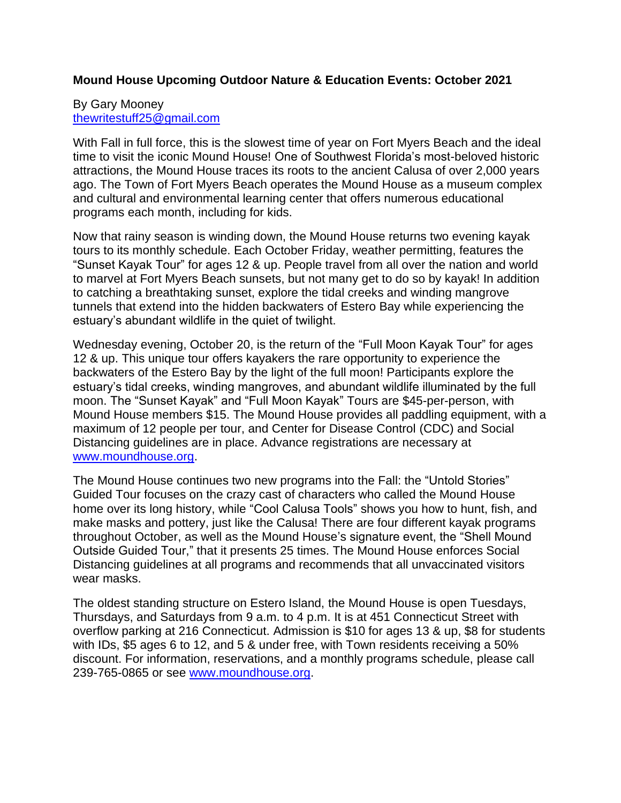# **Mound House Upcoming Outdoor Nature & Education Events: October 2021**

## By Gary Mooney [thewritestuff25@gmail.com](mailto:thewritestuff25@gmail.com)

With Fall in full force, this is the slowest time of year on Fort Myers Beach and the ideal time to visit the iconic Mound House! One of Southwest Florida's most-beloved historic attractions, the Mound House traces its roots to the ancient Calusa of over 2,000 years ago. The Town of Fort Myers Beach operates the Mound House as a museum complex and cultural and environmental learning center that offers numerous educational programs each month, including for kids.

Now that rainy season is winding down, the Mound House returns two evening kayak tours to its monthly schedule. Each October Friday, weather permitting, features the "Sunset Kayak Tour" for ages 12 & up. People travel from all over the nation and world to marvel at Fort Myers Beach sunsets, but not many get to do so by kayak! In addition to catching a breathtaking sunset, explore the tidal creeks and winding mangrove tunnels that extend into the hidden backwaters of Estero Bay while experiencing the estuary's abundant wildlife in the quiet of twilight.

Wednesday evening, October 20, is the return of the "Full Moon Kayak Tour" for ages 12 & up. This unique tour offers kayakers the rare opportunity to experience the backwaters of the Estero Bay by the light of the full moon! Participants explore the estuary's tidal creeks, winding mangroves, and abundant wildlife illuminated by the full moon. The "Sunset Kayak" and "Full Moon Kayak" Tours are \$45-per-person, with Mound House members \$15. The Mound House provides all paddling equipment, with a maximum of 12 people per tour, and Center for Disease Control (CDC) and Social Distancing guidelines are in place. Advance registrations are necessary at [www.moundhouse.org.](http://www.moundhouse.org/)

The Mound House continues two new programs into the Fall: the "Untold Stories" Guided Tour focuses on the crazy cast of characters who called the Mound House home over its long history, while "Cool Calusa Tools" shows you how to hunt, fish, and make masks and pottery, just like the Calusa! There are four different kayak programs throughout October, as well as the Mound House's signature event, the "Shell Mound Outside Guided Tour," that it presents 25 times. The Mound House enforces Social Distancing guidelines at all programs and recommends that all unvaccinated visitors wear masks.

The oldest standing structure on Estero Island, the Mound House is open Tuesdays, Thursdays, and Saturdays from 9 a.m. to 4 p.m. It is at 451 Connecticut Street with overflow parking at 216 Connecticut. Admission is \$10 for ages 13 & up, \$8 for students with IDs, \$5 ages 6 to 12, and 5 & under free, with Town residents receiving a 50% discount. For information, reservations, and a monthly programs schedule, please call 239-765-0865 or see [www.moundhouse.org.](http://www.moundhouse.org/)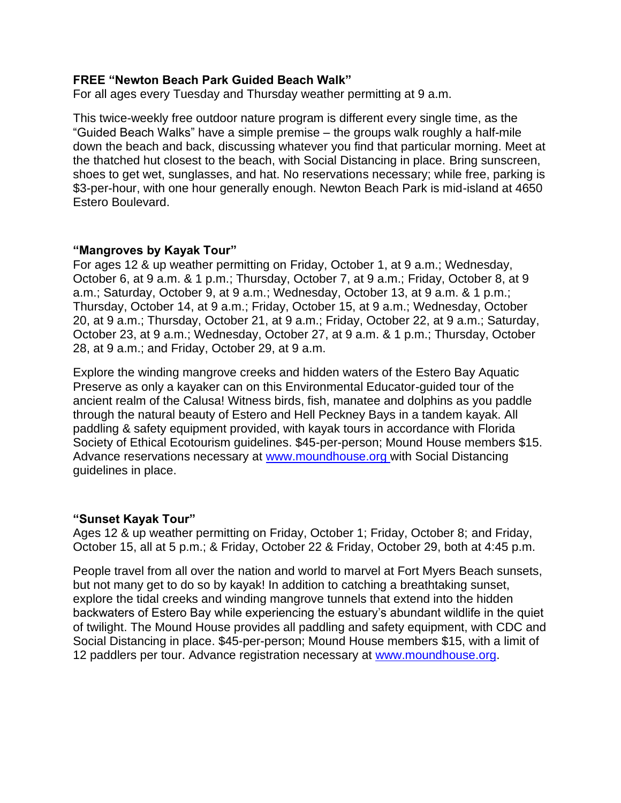## **FREE "Newton Beach Park Guided Beach Walk"**

For all ages every Tuesday and Thursday weather permitting at 9 a.m.

This twice-weekly free outdoor nature program is different every single time, as the "Guided Beach Walks" have a simple premise – the groups walk roughly a half-mile down the beach and back, discussing whatever you find that particular morning. Meet at the thatched hut closest to the beach, with Social Distancing in place. Bring sunscreen, shoes to get wet, sunglasses, and hat. No reservations necessary; while free, parking is \$3-per-hour, with one hour generally enough. Newton Beach Park is mid-island at 4650 Estero Boulevard.

#### **"Mangroves by Kayak Tour"**

For ages 12 & up weather permitting on Friday, October 1, at 9 a.m.; Wednesday, October 6, at 9 a.m. & 1 p.m.; Thursday, October 7, at 9 a.m.; Friday, October 8, at 9 a.m.; Saturday, October 9, at 9 a.m.; Wednesday, October 13, at 9 a.m. & 1 p.m.; Thursday, October 14, at 9 a.m.; Friday, October 15, at 9 a.m.; Wednesday, October 20, at 9 a.m.; Thursday, October 21, at 9 a.m.; Friday, October 22, at 9 a.m.; Saturday, October 23, at 9 a.m.; Wednesday, October 27, at 9 a.m. & 1 p.m.; Thursday, October 28, at 9 a.m.; and Friday, October 29, at 9 a.m.

Explore the winding mangrove creeks and hidden waters of the Estero Bay Aquatic Preserve as only a kayaker can on this Environmental Educator-guided tour of the ancient realm of the Calusa! Witness birds, fish, manatee and dolphins as you paddle through the natural beauty of Estero and Hell Peckney Bays in a tandem kayak. All paddling & safety equipment provided, with kayak tours in accordance with Florida Society of Ethical Ecotourism guidelines. \$45-per-person; Mound House members \$15. Advance reservations necessary at [www.moundhouse.org](http://www.moundhouse.org/) with Social Distancing guidelines in place.

#### **"Sunset Kayak Tour"**

Ages 12 & up weather permitting on Friday, October 1; Friday, October 8; and Friday, October 15, all at 5 p.m.; & Friday, October 22 & Friday, October 29, both at 4:45 p.m.

People travel from all over the nation and world to marvel at Fort Myers Beach sunsets, but not many get to do so by kayak! In addition to catching a breathtaking sunset, explore the tidal creeks and winding mangrove tunnels that extend into the hidden backwaters of Estero Bay while experiencing the estuary's abundant wildlife in the quiet of twilight. The Mound House provides all paddling and safety equipment, with CDC and Social Distancing in place. \$45-per-person; Mound House members \$15, with a limit of 12 paddlers per tour. Advance registration necessary at [www.moundhouse.org.](http://www.moundhouse.org/)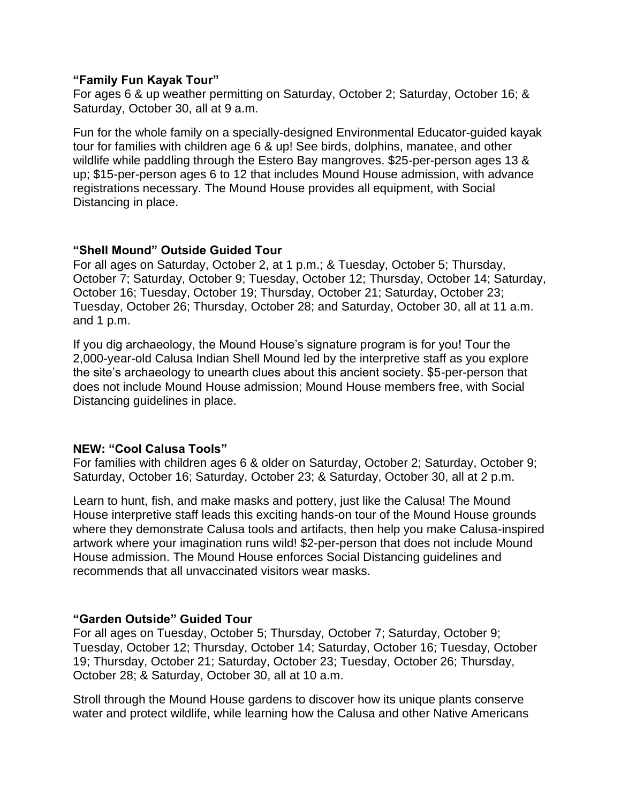#### **"Family Fun Kayak Tour"**

For ages 6 & up weather permitting on Saturday, October 2; Saturday, October 16; & Saturday, October 30, all at 9 a.m.

Fun for the whole family on a specially-designed Environmental Educator-guided kayak tour for families with children age 6 & up! See birds, dolphins, manatee, and other wildlife while paddling through the Estero Bay mangroves. \$25-per-person ages 13 & up; \$15-per-person ages 6 to 12 that includes Mound House admission, with advance registrations necessary. The Mound House provides all equipment, with Social Distancing in place.

# **"Shell Mound" Outside Guided Tour**

For all ages on Saturday, October 2, at 1 p.m.; & Tuesday, October 5; Thursday, October 7; Saturday, October 9; Tuesday, October 12; Thursday, October 14; Saturday, October 16; Tuesday, October 19; Thursday, October 21; Saturday, October 23; Tuesday, October 26; Thursday, October 28; and Saturday, October 30, all at 11 a.m. and 1 p.m.

If you dig archaeology, the Mound House's signature program is for you! Tour the 2,000-year-old Calusa Indian Shell Mound led by the interpretive staff as you explore the site's archaeology to unearth clues about this ancient society. \$5-per-person that does not include Mound House admission; Mound House members free, with Social Distancing guidelines in place.

# **NEW: "Cool Calusa Tools"**

For families with children ages 6 & older on Saturday, October 2; Saturday, October 9; Saturday, October 16; Saturday, October 23; & Saturday, October 30, all at 2 p.m.

Learn to hunt, fish, and make masks and pottery, just like the Calusa! The Mound House interpretive staff leads this exciting hands-on tour of the Mound House grounds where they demonstrate Calusa tools and artifacts, then help you make Calusa-inspired artwork where your imagination runs wild! \$2-per-person that does not include Mound House admission. The Mound House enforces Social Distancing guidelines and recommends that all unvaccinated visitors wear masks.

# **"Garden Outside" Guided Tour**

For all ages on Tuesday, October 5; Thursday, October 7; Saturday, October 9; Tuesday, October 12; Thursday, October 14; Saturday, October 16; Tuesday, October 19; Thursday, October 21; Saturday, October 23; Tuesday, October 26; Thursday, October 28; & Saturday, October 30, all at 10 a.m.

Stroll through the Mound House gardens to discover how its unique plants conserve water and protect wildlife, while learning how the Calusa and other Native Americans